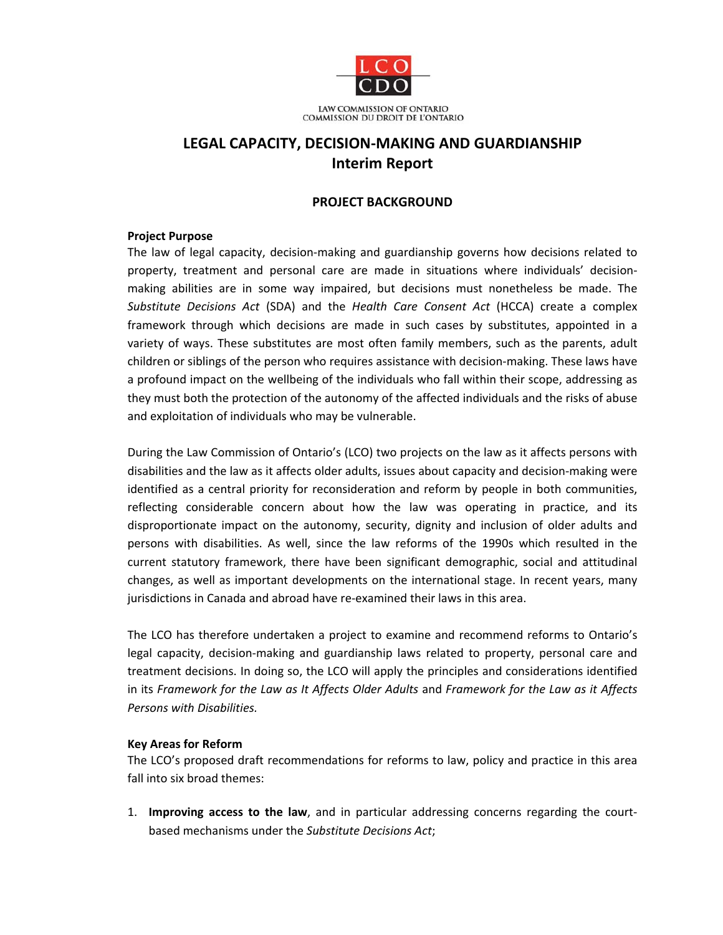

# **LEGAL CAPACITY, DECISION‐MAKING AND GUARDIANSHIP Interim Report**

#### **PROJECT BACKGROUND**

#### **Project Purpose**

The law of legal capacity, decision‐making and guardianship governs how decisions related to property, treatment and personal care are made in situations where individuals' decision‐ making abilities are in some way impaired, but decisions must nonetheless be made. The *Substitute Decisions Act* (SDA) and the *Health Care Consent Act* (HCCA) create a complex framework through which decisions are made in such cases by substitutes, appointed in a variety of ways. These substitutes are most often family members, such as the parents, adult children or siblings of the person who requires assistance with decision‐making. These laws have a profound impact on the wellbeing of the individuals who fall within their scope, addressing as they must both the protection of the autonomy of the affected individuals and the risks of abuse and exploitation of individuals who may be vulnerable.

During the Law Commission of Ontario's (LCO) two projects on the law as it affects persons with disabilities and the law as it affects older adults, issues about capacity and decision‐making were identified as a central priority for reconsideration and reform by people in both communities, reflecting considerable concern about how the law was operating in practice, and its disproportionate impact on the autonomy, security, dignity and inclusion of older adults and persons with disabilities. As well, since the law reforms of the 1990s which resulted in the current statutory framework, there have been significant demographic, social and attitudinal changes, as well as important developments on the international stage. In recent years, many jurisdictions in Canada and abroad have re-examined their laws in this area.

The LCO has therefore undertaken a project to examine and recommend reforms to Ontario's legal capacity, decision-making and guardianship laws related to property, personal care and treatment decisions. In doing so, the LCO will apply the principles and considerations identified in its *Framework for the Law as It Affects Older Adults* and *Framework for the Law as it Affects Persons with Disabilities.*

## **Key Areas for Reform**

The LCO's proposed draft recommendations for reforms to law, policy and practice in this area fall into six broad themes:

1. **Improving access to the law**, and in particular addressing concerns regarding the court‐ based mechanisms under the *Substitute Decisions Act*;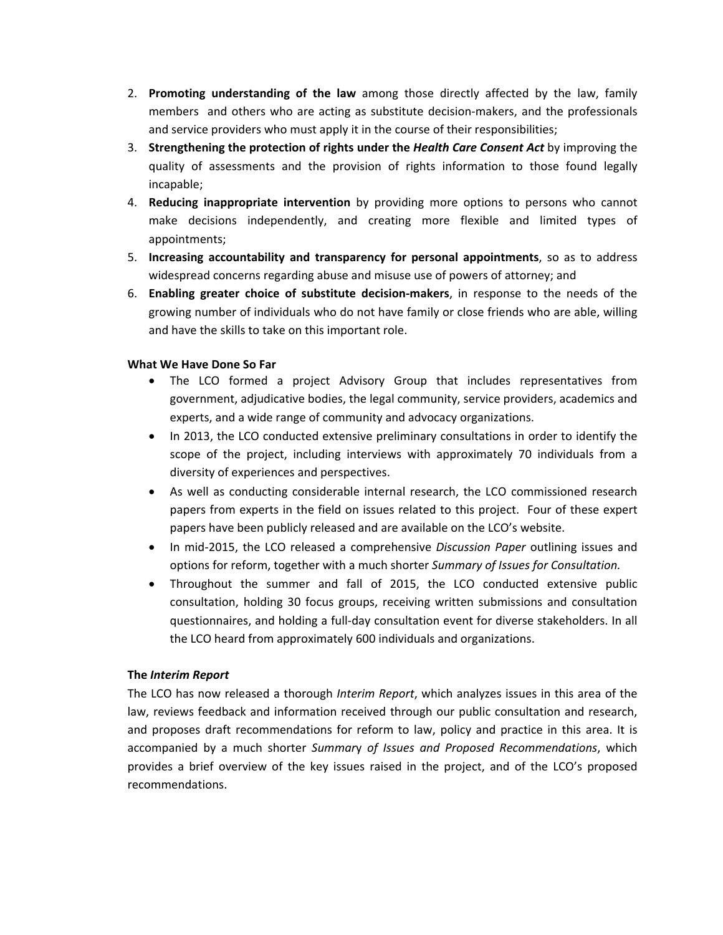- 2. **Promoting understanding of the law** among those directly affected by the law, family members and others who are acting as substitute decision-makers, and the professionals and service providers who must apply it in the course of their responsibilities;
- 3. **Strengthening the protection of rights under the** *Health Care Consent Act* by improving the quality of assessments and the provision of rights information to those found legally incapable;
- 4. **Reducing inappropriate intervention** by providing more options to persons who cannot make decisions independently, and creating more flexible and limited types of appointments;
- 5. **Increasing accountability and transparency for personal appointments**, so as to address widespread concerns regarding abuse and misuse use of powers of attorney; and
- 6. **Enabling greater choice of substitute decision‐makers**, in response to the needs of the growing number of individuals who do not have family or close friends who are able, willing and have the skills to take on this important role.

## **What We Have Done So Far**

- The LCO formed a project Advisory Group that includes representatives from government, adjudicative bodies, the legal community, service providers, academics and experts, and a wide range of community and advocacy organizations.
- In 2013, the LCO conducted extensive preliminary consultations in order to identify the scope of the project, including interviews with approximately 70 individuals from a diversity of experiences and perspectives.
- As well as conducting considerable internal research, the LCO commissioned research papers from experts in the field on issues related to this project. Four of these expert papers have been publicly released and are available on the LCO's website.
- In mid‐2015, the LCO released a comprehensive *Discussion Paper* outlining issues and options for reform, together with a much shorter *Summary of Issues for Consultation.*
- Throughout the summer and fall of 2015, the LCO conducted extensive public consultation, holding 30 focus groups, receiving written submissions and consultation questionnaires, and holding a full‐day consultation event for diverse stakeholders. In all the LCO heard from approximately 600 individuals and organizations.

## **The** *Interim Report*

The LCO has now released a thorough *Interim Report*, which analyzes issues in this area of the law, reviews feedback and information received through our public consultation and research, and proposes draft recommendations for reform to law, policy and practice in this area. It is accompanied by a much shorter *Summar*y *of Issues and Proposed Recommendations*, which provides a brief overview of the key issues raised in the project, and of the LCO's proposed recommendations.